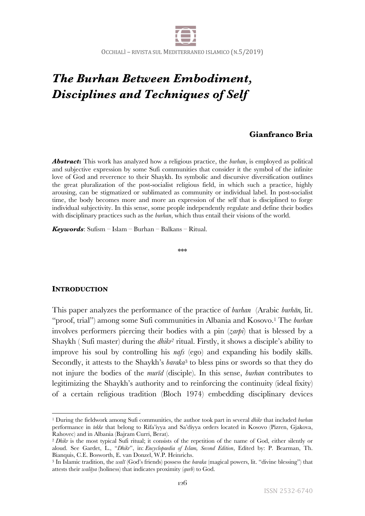

# *The Burhan Between Embodiment, Disciplines and Techniques of Self*

# **Gianfranco Bria**

*Abstract***:** This work has analyzed how a religious practice, the *burhan*, is employed as political and subjective expression by some Sufi communities that consider it the symbol of the infinite love of God and reverence to their Shaykh. Its symbolic and discursive diversification outlines the great pluralization of the post-socialist religious field, in which such a practice, highly arousing, can be stigmatized or sublimated as community or individual label. In post-socialist time, the body becomes more and more an expression of the self that is disciplined to forge individual subjectivity. In this sense, some people independently regulate and define their bodies with disciplinary practices such as the *burhan*, which thus entail their visions of the world.

*Keywords*: Sufism – Islam – Burhan – Balkans – Ritual.

\*\*\*

# **INTRODUCTION**

This paper analyzes the performance of the practice of *burhan* (Arabic *burhān,* lit. "proof, trial") among some Sufi communities in Albania and Kosovo.1 The *burhan* involves performers piercing their bodies with a pin (*zarpi*) that is blessed by a Shaykh ( Sufi master) during the *dhikr2* ritual. Firstly, it shows a disciple's ability to improve his soul by controlling his *nafs* (ego) and expanding his bodily skills. Secondly, it attests to the Shaykh's *baraka*<sup>3</sup> to bless pins or swords so that they do not injure the bodies of the *murīd* (disciple). In this sense, *burhan* contributes to legitimizing the Shaykh's authority and to reinforcing the continuity (ideal fixity) of a certain religious tradition (Bloch 1974) embedding disciplinary devices

<sup>1</sup> During the fieldwork among Sufi communities, the author took part in several *dhikr* that included *burhan* performance in *tekke* that belong to Rifa'iyya and Sa'diyya orders located in Kosovo (Pizren, Gjakova, Rahovec) and in Albania (Bajram Curri, Berat).

<sup>2</sup> *Dhikr* is the most typical Sufi ritual; it consists of the repetition of the name of God, either silently or aloud. See Gardet, L., "*Dhikr*", in: *Encyclopaedia of Islam, Second Edition*, Edited by: P. Bearman, Th. Bianquis, C.E. Bosworth, E. van Donzel, W.P. Heinrichs.

<sup>3</sup> In Islamic tradition, the *walī* (God's friends) possess the *baraka* (magical powers, lit. "divine blessing") that attests their *walāya* (holiness) that indicates proximity (*qurb*) to God.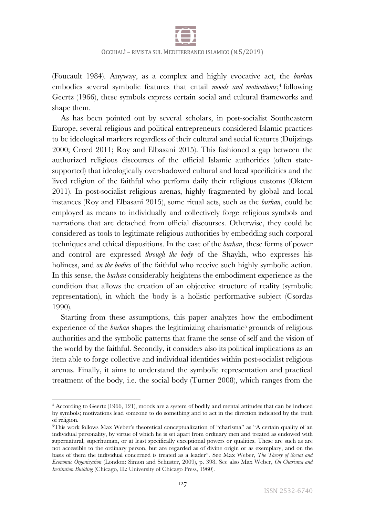

(Foucault 1984). Anyway, as a complex and highly evocative act, the *burhan* embodies several symbolic features that entail *moods and motivations*;4 following Geertz (1966), these symbols express certain social and cultural frameworks and shape them.

As has been pointed out by several scholars, in post-socialist Southeastern Europe, several religious and political entrepreneurs considered Islamic practices to be ideological markers regardless of their cultural and social features (Duijzings 2000; Creed 2011; Roy and Elbasani 2015). This fashioned a gap between the authorized religious discourses of the official Islamic authorities (often statesupported) that ideologically overshadowed cultural and local specificities and the lived religion of the faithful who perform daily their religious customs (Oktem 2011). In post-socialist religious arenas, highly fragmented by global and local instances (Roy and Elbasani 2015), some ritual acts, such as the *burhan*, could be employed as means to individually and collectively forge religious symbols and narrations that are detached from official discourses. Otherwise, they could be considered as tools to legitimate religious authorities by embedding such corporal techniques and ethical dispositions. In the case of the *burhan*, these forms of power and control are expressed *through the body* of the Shaykh, who expresses his holiness, and *on the bodies* of the faithful who receive such highly symbolic action. In this sense, the *burhan* considerably heightens the embodiment experience as the condition that allows the creation of an objective structure of reality (symbolic representation), in which the body is a holistic performative subject (Csordas 1990).

Starting from these assumptions, this paper analyzes how the embodiment experience of the *burhan* shapes the legitimizing charismatic<sup>5</sup> grounds of religious authorities and the symbolic patterns that frame the sense of self and the vision of the world by the faithful. Secondly, it considers also its political implications as an item able to forge collective and individual identities within post-socialist religious arenas. Finally, it aims to understand the symbolic representation and practical treatment of the body, i.e. the social body (Turner 2008), which ranges from the

<sup>4</sup> According to Geertz (1966, 121), moods are a system of bodily and mental attitudes that can be induced by symbols; motivations lead someone to do something and to act in the direction indicated by the truth of religion.

<sup>5</sup>This work follows Max Weber's theoretical conceptualization of "charisma" as "A certain quality of an individual personality, by virtue of which he is set apart from ordinary men and treated as endowed with supernatural, superhuman, or at least specifically exceptional powers or qualities. These are such as are not accessible to the ordinary person, but are regarded as of divine origin or as exemplary, and on the basis of them the individual concerned is treated as a leader". See Max Weber, *The Theory of Social and Economic Organization* (London: Simon and Schuster, 2009), p. 398. See also Max Weber, *On Charisma and Institution Building* (Chicago, IL: University of Chicago Press, 1960).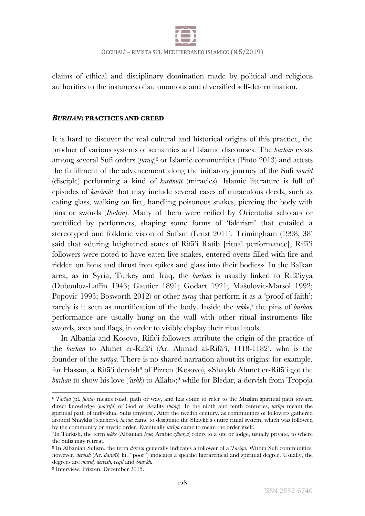

claims of ethical and disciplinary domination made by political and religious authorities to the instances of autonomous and diversified self-determination.

## *BURHAN***: PRACTICES AND CREED**

It is hard to discover the real cultural and historical origins of this practice, the product of various systems of semantics and Islamic discourses. The *burhan* exists among several Sufi orders (*ṭuruq*)6 or Islamic communities (Pinto 2013) and attests the fulfillment of the advancement along the initiatory journey of the Sufi *murīd* (disciple) performing a kind of *karāmāt* (miracles). Islamic literature is full of episodes of *karāmāt* that may include several cases of miraculous deeds, such as eating glass, walking on fire, handling poisonous snakes, piercing the body with pins or swords (*Ibidem*). Many of them were reified by Orientalist scholars or prettified by performers, shaping some forms of 'fakirism' that entailed a stereotyped and folkloric vision of Sufism (Ernst 2011). Trimingham (1998, 38) said that «during heightened states of Rifā<sup>c</sup>i Ratib [ritual performance], Rifā<sup>c</sup>i followers were noted to have eaten live snakes, entered ovens filled with fire and ridden on lions and thrust iron spikes and glass into their bodies». In the Balkan area, as in Syria, Turkey and Iraq, the *burhan* is usually linked to Rifāʿiyya (Dubouloz-Laffin 1943; Gautier 1891; Godart 1921; Mašulovic-Marsol 1992; Popovic 1993; Bosworth 2012) or other *ṭuruq* that perform it as a 'proof of faith'; rarely is it seen as mortification of the body. Inside the *tekke*,<sup>7</sup> the pins of *burhan* performance are usually hung on the wall with other ritual instruments like swords, axes and flags, in order to visibly display their ritual tools.

In Albania and Kosovo, Rifāʿi followers attribute the origin of the practice of the *burhan* to Ahmet er-Rifāʿi (Ar. Aḥmad al-Rifā'ī, 1118-1182), who is the founder of the *ṭarīqa*. There is no shared narration about its origins: for example, for Hassan, a Rifāʿi dervish<sup>8</sup> of Pizren (Kosovo), «Shaykh Ahmet er-Rifāʿi got the *burhan* to show his love (*ʿashk*) to Allah»;9 while for Bledar, a dervish from Tropoja

<sup>6</sup> *Ṭarīqa* (pl. *ṭuruq*) means road, path or way, and has come to refer to the Muslim spiritual path toward direct knowledge (*maʿrifa*) of God or Reality (*ḥaqq*). In the ninth and tenth centuries, *ṭarīqa* meant the spiritual path of individual Sufis (mystics). After the twelfth century, as communities of followers gathered around Shaykhs (teachers), *ṭariqa* came to designate the Shaykh's entire ritual system, which was followed by the community or mystic order. Eventually *ṭarīqa* came to mean the order itself.

<sup>7</sup>In Turkish, the term *tekke* (Albanian *teqe*; Arabic *zāwiya*) refers to a site or lodge, usually private, to where the Sufis may retreat.

<sup>8</sup> In Albanian Sufism, the term *dervish* generally indicates a follower of a *Ṭarīqa.* Within Sufi communities, however, *dervish* (Ar. *darwīš,* lit. "poor") indicates a specific hierarchical and spiritual degree. Usually, the degrees are *murid, dervish, veqil* and *Shaykh.*

<sup>9</sup> Interview, Prizren, December 2015.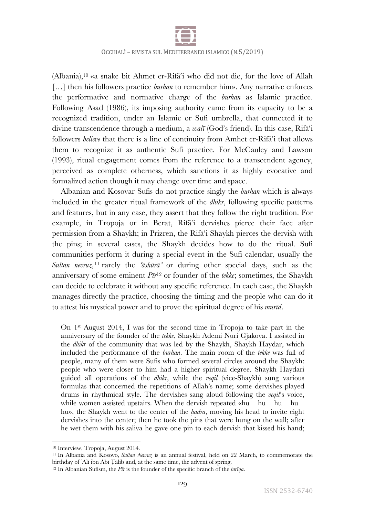

(Albania),10 «a snake bit Ahmet er-Rifāʿi who did not die, for the love of Allah [...] then his followers practice *burhan* to remember him». Any narrative enforces the performative and normative charge of the *burhan* as Islamic practice. Following Asad (1986), its imposing authority came from its capacity to be a recognized tradition, under an Islamic or Sufi umbrella, that connected it to divine transcendence through a medium, a *walī* (God's friend). In this case, Rifāʿi followers *believe* that there is a line of continuity from Amhet er-Rifa<sup>c</sup>i that allows them to recognize it as authentic Sufi practice. For McCauley and Lawson (1993), ritual engagement comes from the reference to a transcendent agency, perceived as complete otherness, which sanctions it as highly evocative and formalized action though it may change over time and space.

Albanian and Kosovar Sufis do not practice singly the *burhan* which is always included in the greater ritual framework of the *dhikr*, following specific patterns and features, but in any case, they assert that they follow the right tradition. For example, in Tropoja or in Berat, Rifā<sup>c</sup>i dervishes pierce their face after permission from a Shaykh; in Prizren, the Rifāʿi Shaykh pierces the dervish with the pins; in several cases, the Shaykh decides how to do the ritual. Sufi communities perform it during a special event in the Sufi calendar, usually the *Sultan nevruz,*<sup>11</sup> rarely the *ʿāshūrāʾ* or during other special days, such as the anniversary of some eminent *Pīr*<sup>12</sup> or founder of the *tekke*; sometimes, the Shaykh can decide to celebrate it without any specific reference. In each case, the Shaykh manages directly the practice, choosing the timing and the people who can do it to attest his mystical power and to prove the spiritual degree of his *murīd*.

On 1st August 2014, I was for the second time in Tropoja to take part in the anniversary of the founder of the *tekke*, Shaykh Ademi Nuri Gjakova. I assisted in the *dhikr* of the community that was led by the Shaykh, Shaykh Haydar, which included the performance of the *burhan*. The main room of the *tekke* was full of people, many of them were Sufis who formed several circles around the Shaykh: people who were closer to him had a higher spiritual degree. Shaykh Haydari guided all operations of the *dhikr*, while the *veqil* (vice-Shaykh) sung various formulas that concerned the repetitions of Allah's name; some dervishes played drums in rhythmical style. The dervishes sang aloud following the *veqil*'s voice, while women assisted upstairs. When the dervish repeated «hu – hu – hu – hu – hu», the Shaykh went to the center of the *hadra*, moving his head to invite eight dervishes into the center; then he took the pins that were hung on the wall; after he wet them with his saliva he gave one pin to each dervish that kissed his hand;

<sup>10</sup> Interview, Tropoja, August 2014.

<sup>11</sup> In Albania and Kosovo, *Sultan Nevruz* is an annual festival, held on 22 March, to commemorate the birthday of ʿAlī ibn Abī Ṭālib and, at the same time, the advent of spring.

<sup>12</sup> In Albanian Sufism, the *Pīr* is the founder of the specific branch of the *ṭarīqa*.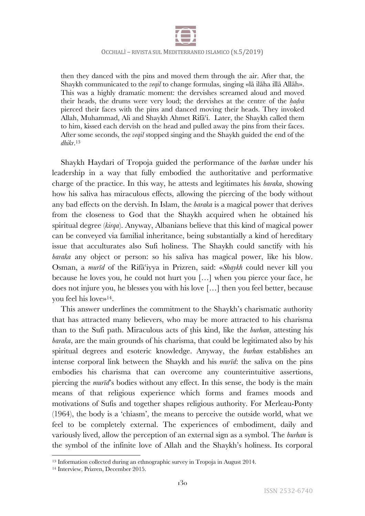

then they danced with the pins and moved them through the air. After that, the Shaykh communicated to the *veqil* to change formulas, singing «lā ilāha illā Allāh». This was a highly dramatic moment: the dervishes screamed aloud and moved their heads, the drums were very loud; the dervishes at the centre of the *ḥaḍra* pierced their faces with the pins and danced moving their heads. They invoked Allah, Muhammad, Ali and Shaykh Ahmet Rifāʿi. Later, the Shaykh called them to him, kissed each dervish on the head and pulled away the pins from their faces. After some seconds, the *veqil* stopped singing and the Shaykh guided the end of the *dhikr*. 13

Shaykh Haydari of Tropoja guided the performance of the *burhan* under his leadership in a way that fully embodied the authoritative and performative charge of the practice. In this way, he attests and legitimates his *baraka*, showing how his saliva has miraculous effects, allowing the piercing of the body without any bad effects on the dervish. In Islam, the *baraka* is a magical power that derives from the closeness to God that the Shaykh acquired when he obtained his spiritual degree (*kirqa*). Anyway, Albanians believe that this kind of magical power can be conveyed via familial inheritance, being substantially a kind of hereditary issue that acculturates also Sufi holiness. The Shaykh could sanctify with his *baraka* any object or person: so his saliva has magical power, like his blow. Osman, a *murīd* of the Rifāʿiyya in Prizren, said: «*Shaykh* could never kill you because he loves you, he could not hurt you […] when you pierce your face, he does not injure you, he blesses you with his love […] then you feel better, because you feel his love»14.

This answer underlines the commitment to the Shaykh's charismatic authority that has attracted many believers, who may be more attracted to his charisma than to the Sufi path. Miraculous acts of ṯhis kind, like the *burhan*, attesting his *baraka*, are the main grounds of his charisma, that could be legitimated also by his spiritual degrees and esoteric knowledge. Anyway, the *burhan* establishes an intense corporal link between the Shaykh and his *murīd*: the saliva on the pins embodies his charisma that can overcome any counterintuitive assertions, piercing the *murīd*'s bodies without any effect. In this sense, the body is the main means of that religious experience which forms and frames moods and motivations of Sufis and together shapes religious authority. For Merleau-Ponty (1964), the body is a 'chiasm', the means to perceive the outside world, what we feel to be completely external. The experiences of embodiment, daily and variously lived, allow the perception of an external sign as a symbol. The *burhan* is the symbol of the infinite love of Allah and the Shaykh's holiness. Its corporal

<sup>&</sup>lt;sup>13</sup> Information collected during an ethnographic survey in Tropoja in August 2014.

<sup>14</sup> Interview, Prizren, December 2015.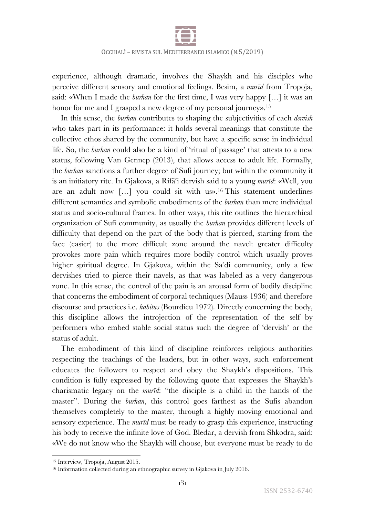

experience, although dramatic, involves the Shaykh and his disciples who perceive different sensory and emotional feelings. Besim, a *murīd* from Tropoja, said: «When I made the *burhan* for the first time, I was very happy […] it was an honor for me and I grasped a new degree of my personal journey».<sup>15</sup>

In this sense, the *burhan* contributes to shaping the subjectivities of each *dervish* who takes part in its performance: it holds several meanings that constitute the collective ethos shared by the community, but have a specific sense in individual life. So, the *burhan* could also be a kind of 'ritual of passage' that attests to a new status, following Van Gennep (2013), that allows access to adult life. Formally, the *burhan* sanctions a further degree of Sufi journey; but within the community it is an initiatory rite. In Gjakova, a Rifāʿi dervish said to a young *murīd*: «Well, you are an adult now […] you could sit with us».16 This statement underlines different semantics and symbolic embodiments of the *burhan* than mere individual status and socio-cultural frames. In other ways, this rite outlines the hierarchical organization of Sufi community, as usually the *burhan* provides different levels of difficulty that depend on the part of the body that is pierced, starting from the face (easier) to the more difficult zone around the navel: greater difficulty provokes more pain which requires more bodily control which usually proves higher spiritual degree. In Gjakova, within the Sa'di community, only a few dervishes tried to pierce their navels, as that was labeled as a very dangerous zone. In this sense, the control of the pain is an arousal form of bodily discipline that concerns the embodiment of corporal techniques (Mauss 1936) and therefore discourse and practices i.e. *habitus* (Bourdieu 1972). Directly concerning the body, this discipline allows the introjection of the representation of the self by performers who embed stable social status such the degree of 'dervish' or the status of adult.

The embodiment of this kind of discipline reinforces religious authorities respecting the teachings of the leaders, but in other ways, such enforcement educates the followers to respect and obey the Shaykh's dispositions. This condition is fully expressed by the following quote that expresses the Shaykh's charismatic legacy on the *murīd*: "the disciple is a child in the hands of the master". During the *burhan*, this control goes farthest as the Sufis abandon themselves completely to the master, through a highly moving emotional and sensory experience. The *murīd* must be ready to grasp this experience, instructing his body to receive the infinite love of God. Bledar, a dervish from Shkodra, said: «We do not know who the Shaykh will choose, but everyone must be ready to do

<sup>15</sup> Interview, Tropoja, August 2015.

<sup>&</sup>lt;sup>16</sup> Information collected during an ethnographic survey in Gjakova in July 2016.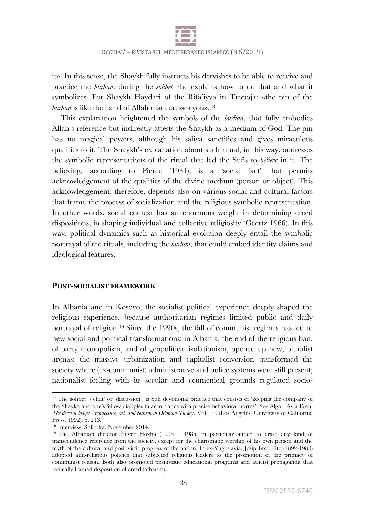

it». In this sense, the Shaykh fully instructs his dervishes to be able to receive and practice the *burhan*: during the *sohbet* 17he explains how to do that and what it symbolizes. For Shaykh Haydari of the Rifāʿiyya in Tropoja: «the pin of the *burhan* is like the hand of Allah that caresses you».<sup>18</sup>

This explanation heightened the symbols of the *burhan*, that fully embodies Allah's reference but indirectly attests the Shaykh as a medium of God. The pin has no magical powers, although his saliva sanctifies and gives miraculous qualities to it. The Shaykh's explanation about such ritual, in this way, addresses the symbolic representations of the ritual that led the Sufis to *believe* in it. The believing, according to Pierce (1931), is a 'social fact' that permits acknowledgement of the qualities of the divine medium (person or object). This acknowledgement, therefore, depends also on various social and cultural factors that frame the process of socialization and the religious symbolic representation. In other words, social context has an enormous weight in determining creed dispositions, in shaping individual and collective religiosity (Geertz 1966). In this way, political dynamics such as historical evolution deeply entail the symbolic portrayal of the rituals, including the *burhan*, that could embed identity claims and ideological features.

## **POST-SOCIALIST FRAMEWORK**

In Albania and in Kosovo, the socialist political experience deeply shaped the religious experience, because authoritarian regimes limited public and daily portrayal of religion.19 Since the 1990s, the fall of communist regimes has led to new social and political transformations: in Albania, the end of the religious ban, of party monopolism, and of geopolitical isolationism, opened up new, pluralist arenas; the massive urbanization and capitalist conversion transformed the society where (ex-communist) administrative and police systems were still present; nationalist feeling with its secular and ecumenical grounds regulated socio-

<sup>17</sup> The sohbet ('chat' or 'discussion') is Sufi devotional practice that consists of 'keeping the company of the Shaykh and one's fellow disciples in accordance with precise behavioral norms'. See Algar, Ayla Esen. *The dervish lodge: Architecture, art, and Sufism in Ottoman Turkey*. Vol. 10. (Los Angeles: University of California Press. 1992), p. 213.

<sup>18</sup> Interview, Shkodra, November 2014.

<sup>19</sup> The Albanian dictator Enver Hoxha (1908 – 1985) in particular aimed to erase any kind of transcendence reference from the society, except for the charismatic worship of his own person and the myth of the cultural and positivistic progress of the nation. In ex-Yugoslavia, Josip Brot Tito (1892-1980) adopted anti-religious policies that subjected religious leaders to the promotion of the primacy of communist reason. Both also promoted positivistic educational programs and atheist propaganda that radically framed disposition of creed (atheism).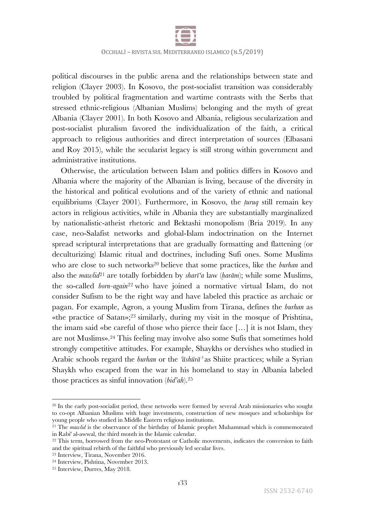

political discourses in the public arena and the relationships between state and religion (Clayer 2003). In Kosovo, the post-socialist transition was considerably troubled by political fragmentation and wartime contrasts with the Serbs that stressed ethnic-religious (Albanian Muslims) belonging and the myth of great Albania (Clayer 2001). In both Kosovo and Albania, religious secularization and post-socialist pluralism favored the individualization of the faith, a critical approach to religious authorities and direct interpretation of sources (Elbasani and Roy 2015), while the secularist legacy is still strong within government and administrative institutions.

Otherwise, the articulation between Islam and politics differs in Kosovo and Albania where the majority of the Albanian is living, because of the diversity in the historical and political evolutions and of the variety of ethnic and national equilibriums (Clayer 2001). Furthermore, in Kosovo, the *ṭuruq* still remain key actors in religious activities, while in Albania they are substantially marginalized by nationalistic-atheist rhetoric and Bektashi monopolism (Bria 2019). In any case, neo-Salafist networks and global-Islam indoctrination on the Internet spread scriptural interpretations that are gradually formatting and flattening (or deculturizing) Islamic ritual and doctrines, including Sufi ones. Some Muslims who are close to such networks<sup>20</sup> believe that some practices, like the *burhan* and also the *mawlid*<sup>21</sup> are totally forbidden by *sharī'a* law (*ḥarām*); while some Muslims, the so-called *born-again*<sup>22</sup> who have joined a normative virtual Islam, do not consider Sufism to be the right way and have labeled this practice as archaic or pagan. For example, Agron, a young Muslim from Tirana, defines the *burhan* as «the practice of Satan»;23 similarly, during my visit in the mosque of Prishtina, the imam said «be careful of those who pierce their face […] it is not Islam, they are not Muslims».24 This feeling may involve also some Sufis that sometimes hold strongly competitive attitudes. For example, Shaykhs or dervishes who studied in Arabic schools regard the *burhan* or the *ʿāshūrāʾ* as Shiite practices; while a Syrian Shaykh who escaped from the war in his homeland to stay in Albania labeled those practices as sinful innovation (*bid'ah*).25

<sup>&</sup>lt;sup>20</sup> In the early post-socialist period, these networks were formed by several Arab missionaries who sought to co-opt Albanian Muslims with huge investments, construction of new mosques and scholarships for young people who studied in Middle Eastern religious institutions.

<sup>&</sup>lt;sup>21</sup> The *mawlid* is the observance of the birthday of Islamic prophet Muhammad which is commemorated in Rabi' al-awwal, the third month in the Islamic calendar.

<sup>&</sup>lt;sup>22</sup> This term, borrowed from the neo-Protestant or Catholic movements, indicates the conversion to faith and the spiritual rebirth of the faithful who previously led secular lives.

<sup>23</sup> Interview, Tirana, November 2016.

<sup>24</sup> Interview, Pishtina, November 2013.

<sup>25</sup> Interview, Durres, May 2018.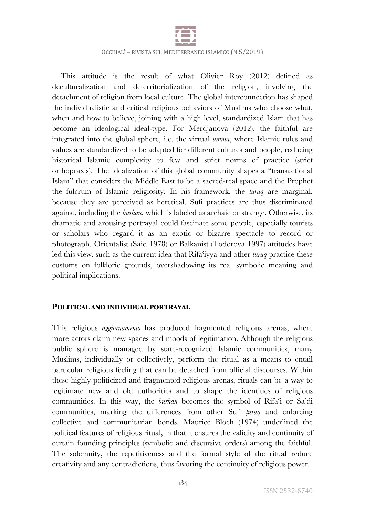

This attitude is the result of what Olivier Roy (2012) defined as deculturalization and deterritorialization of the religion, involving the detachment of religion from local culture. The global interconnection has shaped the individualistic and critical religious behaviors of Muslims who choose what, when and how to believe, joining with a high level, standardized Islam that has become an ideological ideal-type. For Merdjanova (2012), the faithful are integrated into the global sphere, i.e. the virtual *umma*, where Islamic rules and values are standardized to be adapted for different cultures and people, reducing historical Islamic complexity to few and strict norms of practice (strict orthopraxis). The idealization of this global community shapes a "transactional Islam" that considers the Middle East to be a sacred-real space and the Prophet the fulcrum of Islamic religiosity. In his framework, the *ṭuruq* are marginal, because they are perceived as heretical. Sufi practices are thus discriminated against, including the *burhan*, which is labeled as archaic or strange. Otherwise, its dramatic and arousing portrayal could fascinate some people, especially tourists or scholars who regard it as an exotic or bizarre spectacle to record or photograph. Orientalist (Said 1978) or Balkanist (Todorova 1997) attitudes have led this view, such as the current idea that Rifāʿiyya and other *ṭuruq* practice these customs on folkloric grounds, overshadowing its real symbolic meaning and political implications.

#### **POLITICAL AND INDIVIDUAL PORTRAYAL**

This religious *aggiornamento* has produced fragmented religious arenas, where more actors claim new spaces and moods of legitimation. Although the religious public sphere is managed by state-recognized Islamic communities, many Muslims, individually or collectively, perform the ritual as a means to entail particular religious feeling that can be detached from official discourses. Within these highly politicized and fragmented religious arenas, rituals can be a way to legitimate new and old authorities and to shape the identities of religious communities. In this way, the *burhan* becomes the symbol of Rifāʿi or Saʿdi communities, marking the differences from other Sufi *ṭuruq* and enforcing collective and communitarian bonds. Maurice Bloch (1974) underlined the political features of religious ritual, in that it ensures the validity and continuity of certain founding principles (symbolic and discursive orders) among the faithful. The solemnity, the repetitiveness and the formal style of the ritual reduce creativity and any contradictions, thus favoring the continuity of religious power.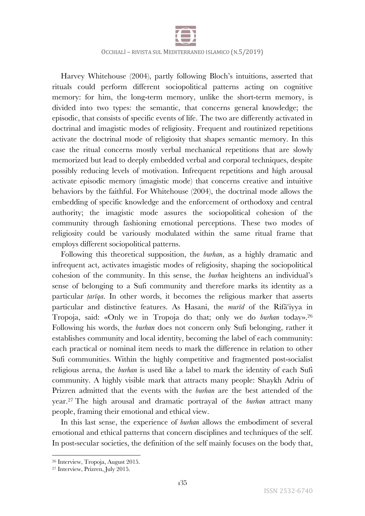

Harvey Whitehouse (2004), partly following Bloch's intuitions, asserted that rituals could perform different sociopolitical patterns acting on cognitive memory: for him, the long-term memory, unlike the short-term memory, is divided into two types: the semantic, that concerns general knowledge; the episodic, that consists of specific events of life. The two are differently activated in doctrinal and imagistic modes of religiosity. Frequent and routinized repetitions activate the doctrinal mode of religiosity that shapes semantic memory. In this case the ritual concerns mostly verbal mechanical repetitions that are slowly memorized but lead to deeply embedded verbal and corporal techniques, despite possibly reducing levels of motivation. Infrequent repetitions and high arousal activate episodic memory (imagistic mode) that concerns creative and intuitive behaviors by the faithful. For Whitehouse (2004), the doctrinal mode allows the embedding of specific knowledge and the enforcement of orthodoxy and central authority; the imagistic mode assures the sociopolitical cohesion of the community through fashioning emotional perceptions. These two modes of religiosity could be variously modulated within the same ritual frame that employs different sociopolitical patterns.

Following this theoretical supposition, the *burhan*, as a highly dramatic and infrequent act, activates imagistic modes of religiosity, shaping the sociopolitical cohesion of the community. In this sense, the *burhan* heightens an individual's sense of belonging to a Sufi community and therefore marks its identity as a particular *ṭarīqa*. In other words, it becomes the religious marker that asserts particular and distinctive features. As Hasani, the *murīd* of the Rifāʿiyya in Tropoja, said: «Only we in Tropoja do that; only we do *burhan* today».26 Following his words, the *burhan* does not concern only Sufi belonging, rather it establishes community and local identity, becoming the label of each community: each practical or nominal item needs to mark the difference in relation to other Sufi communities. Within the highly competitive and fragmented post-socialist religious arena, the *burhan* is used like a label to mark the identity of each Sufi community. A highly visible mark that attracts many people: Shaykh Adriu of Prizren admitted that the events with the *burhan* are the best attended of the year.27 The high arousal and dramatic portrayal of the *burhan* attract many people, framing their emotional and ethical view.

In this last sense, the experience of *burhan* allows the embodiment of several emotional and ethical patterns that concern disciplines and techniques of the self. In post-secular societies, the definition of the self mainly focuses on the body that,

<sup>26</sup> Interview, Tropoja, August 2015.

<sup>27</sup> Interview, Prizren, July 2015.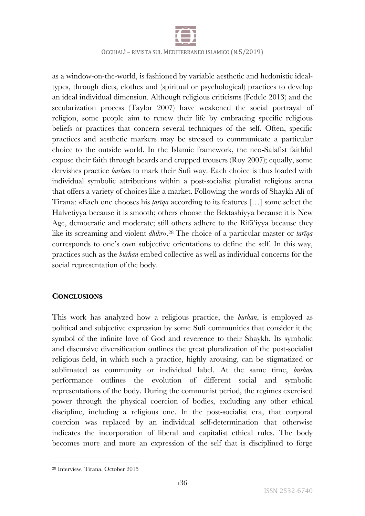

as a window-on-the-world, is fashioned by variable aesthetic and hedonistic idealtypes, through diets, clothes and (spiritual or psychological) practices to develop an ideal individual dimension. Although religious criticisms (Fedele 2013) and the secularization process (Taylor 2007) have weakened the social portrayal of religion, some people aim to renew their life by embracing specific religious beliefs or practices that concern several techniques of the self. Often, specific practices and aesthetic markers may be stressed to communicate a particular choice to the outside world. In the Islamic framework, the neo-Salafist faithful expose their faith through beards and cropped trousers (Roy 2007); equally, some dervishes practice *burhan* to mark their Sufi way. Each choice is thus loaded with individual symbolic attributions within a post-socialist pluralist religious arena that offers a variety of choices like a market. Following the words of Shaykh Alì of Tirana: «Each one chooses his *ṭarīqa* according to its features […] some select the Halvetiyya because it is smooth; others choose the Bektashiyya because it is New Age, democratic and moderate; still others adhere to the Rifāʿiyya because they like its screaming and violent *dhikr*».28 The choice of a particular master or *ṭarīqa* corresponds to one's own subjective orientations to define the self. In this way, practices such as the *burhan* embed collective as well as individual concerns for the social representation of the body.

## **CONCLUSIONS**

This work has analyzed how a religious practice, the *burhan*, is employed as political and subjective expression by some Sufi communities that consider it the symbol of the infinite love of God and reverence to their Shaykh. Its symbolic and discursive diversification outlines the great pluralization of the post-socialist religious field, in which such a practice, highly arousing, can be stigmatized or sublimated as community or individual label. At the same time, *burhan* performance outlines the evolution of different social and symbolic representations of the body. During the communist period, the regimes exercised power through the physical coercion of bodies, excluding any other ethical discipline, including a religious one. In the post-socialist era, that corporal coercion was replaced by an individual self-determination that otherwise indicates the incorporation of liberal and capitalist ethical rules. The body becomes more and more an expression of the self that is disciplined to forge

<sup>28</sup> Interview, Tirana, October 2015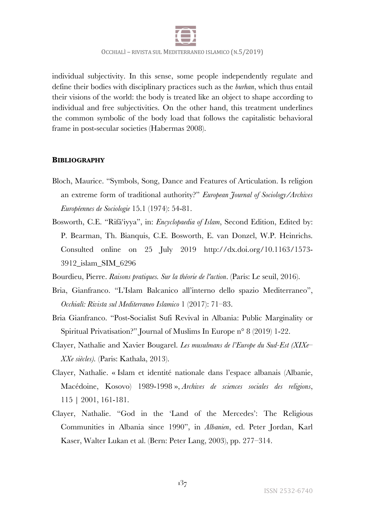

individual subjectivity. In this sense, some people independently regulate and define their bodies with disciplinary practices such as the *burhan*, which thus entail their visions of the world: the body is treated like an object to shape according to individual and free subjectivities. On the other hand, this treatment underlines the common symbolic of the body load that follows the capitalistic behavioral frame in post-secular societies (Habermas 2008).

### **BIBLIOGRAPHY**

- Bloch, Maurice. "Symbols, Song, Dance and Features of Articulation. Is religion an extreme form of traditional authority?" *European Journal of Sociology/Archives Européennes de Sociologie* 15.1 (1974): 54-81.
- Bosworth, C.E. "Rifāʿiyya", in: *Encyclopaedia of Islam*, Second Edition, Edited by: P. Bearman, Th. Bianquis, C.E. Bosworth, E. van Donzel, W.P. Heinrichs. Consulted online on 25 July 2019 http://dx.doi.org/10.1163/1573- 3912\_islam\_SIM\_6296
- Bourdieu, Pierre. *Raisons pratiques. Sur la théorie de l'action*. (Paris: Le seuil, 2016).
- Bria, Gianfranco. "L'Islam Balcanico all'interno dello spazio Mediterraneo", *Occhialì: Rivista sul Mediterraneo Islamico* 1 (2017): 71–83.
- Bria Gianfranco. "Post-Socialist Sufi Revival in Albania: Public Marginality or Spiritual Privatisation?" Journal of Muslims In Europe n° 8 (2019) 1-22.
- Clayer, Nathalie and Xavier Bougarel. *Les musulmans de l'Europe du Sud-Est (XIXe– XXe siècles).* (Paris: Kathala, 2013).
- Clayer, Nathalie. « Islam et identité nationale dans l'espace albanais (Albanie, Macédoine, Kosovo) 1989-1998 », *Archives de sciences sociales des religions*, 115 | 2001, 161-181.
- Clayer, Nathalie. "God in the 'Land of the Mercedes': The Religious Communities in Albania since 1990", in *Albanien*, ed. Peter Jordan, Karl Kaser, Walter Lukan et al. (Bern: Peter Lang, 2003), pp. 277–314.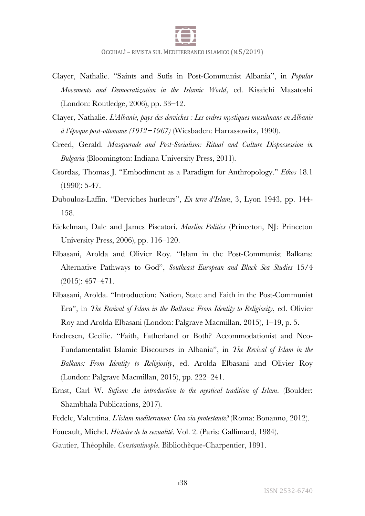

- Clayer, Nathalie. "Saints and Sufis in Post-Communist Albania", in *Popular Movements and Democratization in the Islamic World*, ed. Kisaichi Masatoshi (London: Routledge, 2006), pp. 33–42.
- Clayer, Nathalie. *L'Albanie, pays des derviches : Les ordres mystiques musulmans en Albanie à l'époque post-ottomane (1912−1967)* (Wiesbaden: Harrassowitz, 1990).
- Creed, Gerald. *Masquerade and Post-Socialism: Ritual and Culture Dispossession in Bulgaria* (Bloomington: Indiana University Press, 2011).
- Csordas, Thomas J. "Embodiment as a Paradigm for Anthropology." *Ethos* 18.1 (1990): 5-47.
- Dubouloz-Laffin. "Derviches hurleurs", *En terre d'Islam*, 3, Lyon 1943, pp. 144- 158.
- Eickelman, Dale and James Piscatori. *Muslim Politics* (Princeton, NJ: Princeton University Press, 2006), pp. 116–120.
- Elbasani, Arolda and Olivier Roy. "Islam in the Post-Communist Balkans: Alternative Pathways to God", *Southeast European and Black Sea Studies* 15/4 (2015): 457–471.
- Elbasani, Arolda. "Introduction: Nation, State and Faith in the Post-Communist Era", in *The Revival of Islam in the Balkans: From Identity to Religiosity*, ed. Olivier Roy and Arolda Elbasani (London: Palgrave Macmillan, 2015), 1–19, p. 5.
- Endresen, Cecilie. "Faith, Fatherland or Both? Accommodationist and Neo-Fundamentalist Islamic Discourses in Albania", in *The Revival of Islam in the Balkans: From Identity to Religiosity*, ed. Arolda Elbasani and Olivier Roy (London: Palgrave Macmillan, 2015), pp. 222–241.
- Ernst, Carl W. *Sufism: An introduction to the mystical tradition of Islam*. (Boulder: Shambhala Publications, 2017).
- Fedele, Valentina. *L'islam mediterraneo: Una via protestante?* (Roma: Bonanno, 2012).
- Foucault, Michel. *Histoire de la sexualité*. Vol. 2. (Paris: Gallimard, 1984).
- Gautier, Théophile. *Constantinople*. Bibliothèque-Charpentier, 1891.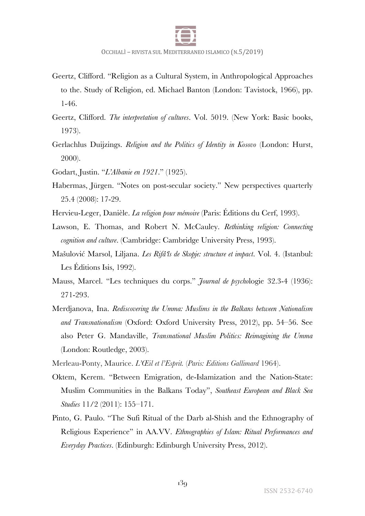

- Geertz, Clifford. "Religion as a Cultural System, in Anthropological Approaches to the. Study of Religion, ed. Michael Banton (London: Tavistock, 1966), pp. 1-46.
- Geertz, Clifford. *The interpretation of cultures*. Vol. 5019. (New York: Basic books, 1973).
- Gerlachlus Duijzings. *Religion and the Politics of Identity in Kosovo* (London: Hurst, 2000).
- Godart, Justin. "*L'Albanie en 1921*." (1925).
- Habermas, Jürgen. "Notes on post‐secular society." New perspectives quarterly 25.4 (2008): 17-29.
- Hervieu-Leger, Danièle. *La religion pour mémoire* (Paris: Éditions du Cerf, 1993).
- Lawson, E. Thomas, and Robert N. McCauley. *Rethinking religion: Connecting cognition and culture*. (Cambridge: Cambridge University Press, 1993).
- Mašulović Marsol, Liljana. *Les Rifâʻîs de Skopje: structure et impact*. Vol. 4. (Istanbul: Les Éditions Isis, 1992).
- Mauss, Marcel. "Les techniques du corps." *Journal de psycho*logie 32.3-4 (1936): 271-293.
- Merdjanova, Ina. *Rediscovering the Umma: Muslims in the Balkans between Nationalism and Transnationalism* (Oxford: Oxford University Press, 2012), pp. 54–56. See also Peter G. Mandaville, *Transnational Muslim Politics: Reimagining the Umma* (London: Routledge, 2003).
- Merleau-Ponty, Maurice. *L'Œil et l'Esprit.* (*Paris: Editions Gallimard* 1964).
- Oktem, Kerem. "Between Emigration, de-Islamization and the Nation-State: Muslim Communities in the Balkans Today", *Southeast European and Black Sea Studies* 11/2 (2011): 155–171.
- Pinto, G. Paulo. "The Sufi Ritual of the Darb al-Shish and the Ethnography of Religious Experience" in AA.VV. *Ethnographies of Islam: Ritual Performances and Everyday Practices*. (Edinburgh: Edinburgh University Press, 2012).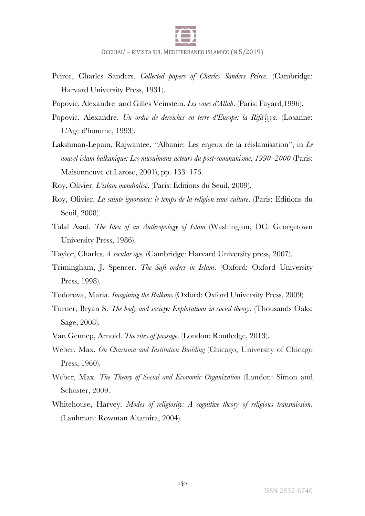

- Peirce, Charles Sanders. *Collected papers of Charles Sanders Peirce*. (Cambridge: Harvard University Press, 1931).
- Popovic, Alexandre and Gilles Veinstein. *Les voies d'Allah*. (Paris: Fayard*,*1996).
- Popovic, Alexandre. *Un ordre de derviches en terre d'Europe: la Rifâʻiyya*. (Losanne: L'Age d'homme, 1993).
- Lakshman-Lepain, Rajwantee. "Albanie: Les enjeux de la réislamisation", in *Le nouvel islam balkanique: Les musulmans acteurs du post-communisme, 1990–2000* (Paris: Maisonneuve et Larose, 2001), pp. 133–176.

Roy, Olivier. *L'islam mondialisé*. (Paris: Editions du Seuil, 2009).

- Roy, Olivier. *La sainte ignorance: le temps de la religion sans culture*. (Paris: Editions du Seuil, 2008).
- Talal Asad. *The Idea of an Anthropology of Islam* (Washington, DC: Georgetown University Press, 1986).
- Taylor, Charles. *A secular age*. (Cambridge: Harvard University press, 2007).
- Trimingham, J. Spencer. *The Sufi orders in Islam*. (Oxford: Oxford University Press, 1998).
- Todorova, Maria. *Imagining the Balkans* (Oxford: Oxford University Press, 2009)
- Turner, Bryan S. *The body and society: Explorations in social theory*. (Thousands Oaks: Sage, 2008).
- Van Gennep, Arnold. *The rites of passage*. (London: Routledge, 2013).
- Weber, Max. *On Charisma and Institution Building* (Chicago, University of Chicago Press, 1960).
- Weber, Max. *The Theory of Social and Economic Organization* (London: Simon and Schuster, 2009.
- Whitehouse, Harvey. *Modes of religiosity: A cognitive theory of religious transmission*. (Lanhman: Rowman Altamira, 2004).